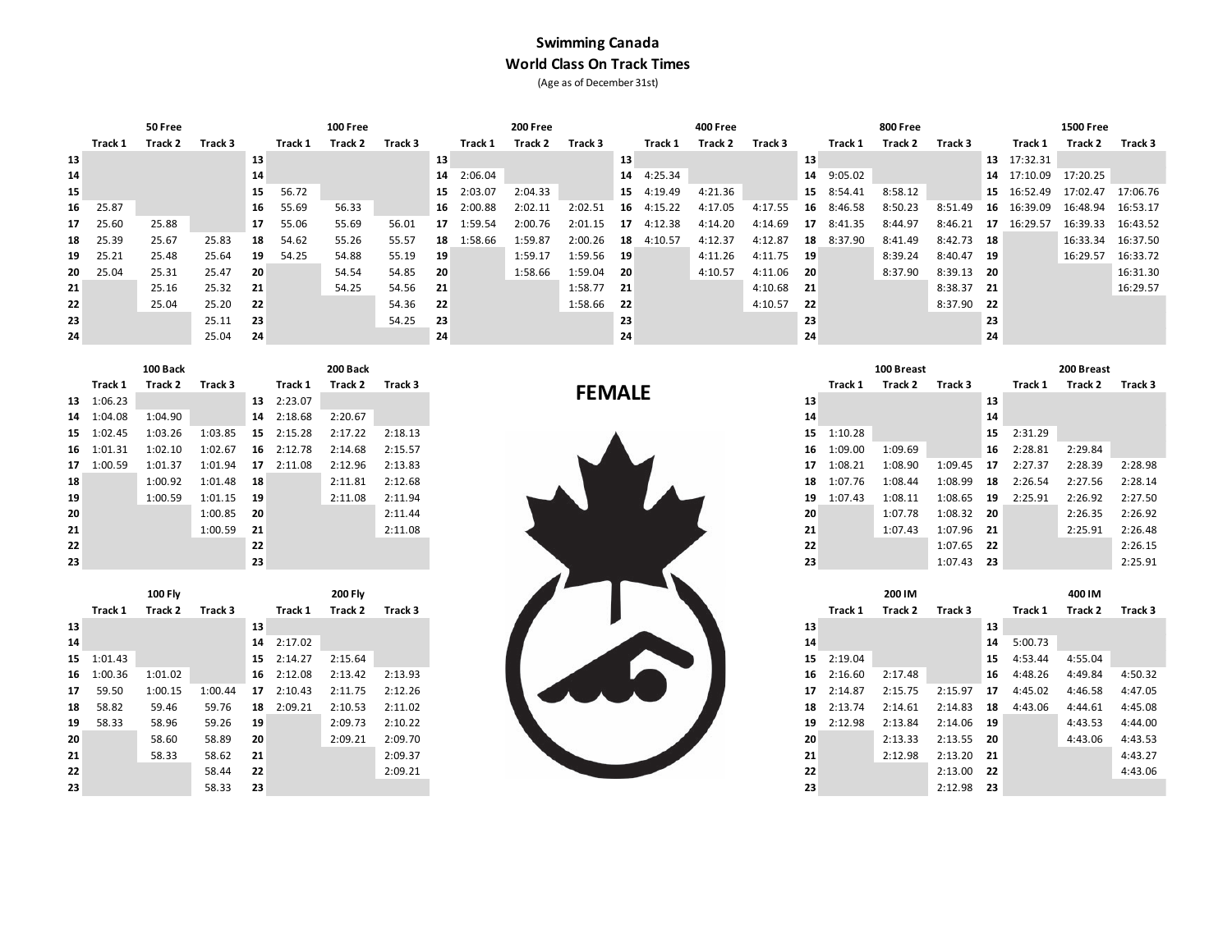## **Swimming Canada World Class On Track Times** (Age as of December 31st)

|    |          | 50 Free |         |    |         | 100 Free |         |    |            | 200 Free |            |      |            | 400 Free |         |      |         | 800 Free |            |      |             | <b>1500 Free</b> |          |
|----|----------|---------|---------|----|---------|----------|---------|----|------------|----------|------------|------|------------|----------|---------|------|---------|----------|------------|------|-------------|------------------|----------|
|    | Track 1  | Track 2 | Track 3 |    | Track 1 | Track 2  | Track 3 |    | Track 1    | Track 2  | Track 3    |      | Track 1    | Track 2  | Track 3 |      | Track 1 | Track 2  | Track 3    |      | Track 1     | Track 2          | Track 3  |
| 13 |          |         |         | 13 |         |          |         | 13 |            |          |            | 13   |            |          |         | 13   |         |          |            |      | 13 17:32.31 |                  |          |
| 14 |          |         |         | 14 |         |          |         |    | 14 2:06.04 |          |            | 14   | 4:25.34    |          |         | 14   | 9:05.02 |          |            | 14   | 17:10.09    | 17:20.25         |          |
| 15 |          |         |         | 15 | 56.72   |          |         | 15 | 2:03.07    | 2:04.33  |            |      | 15 4:19.49 | 4:21.36  |         | 15   | 8:54.41 | 8:58.12  |            |      | 15 16:52.49 | 17:02.47         | 17:06.76 |
|    | 16 25.87 |         |         | 16 | 55.69   | 56.33    |         | 16 | 2:00.88    | 2:02.11  | 2:02.51    |      | 16 4:15.22 | 4:17.05  | 4:17.55 | 16   | 8:46.58 | 8:50.23  | 8:51.49    |      | 16 16:39.09 | 16:48.94         | 16:53.17 |
| 17 | 25.60    | 25.88   |         | 17 | 55.06   | 55.69    | 56.01   | 17 | 1:59.54    | 2:00.76  | 2:01.15    | 17   | 4:12.38    | 4:14.20  | 4:14.69 | 17   | 8:41.35 | 8:44.97  | 8:46.21    | 17   | 16:29.57    | 16:39.33         | 16:43.52 |
| 18 | 25.39    | 25.67   | 25.83   | 18 | 54.62   | 55.26    | 55.57   | 18 | 1:58.66    | 1:59.87  | 2:00.26    | 18   | 4:10.57    | 4:12.37  | 4:12.87 | 18   | 8:37.90 | 8:41.49  | 8:42.73 18 |      |             | 16:33.34         | 16:37.50 |
| 19 | 25.21    | 25.48   | 25.64   | 19 | 54.25   | 54.88    | 55.19   | 19 |            | 1:59.17  | 1:59.56 19 |      |            | 4:11.26  | 4:11.75 | - 19 |         | 8:39.24  | 8:40.47 19 |      |             | 16:29.57         | 16:33.72 |
| 20 | 25.04    | 25.31   | 25.47   | 20 |         | 54.54    | 54.85   | 20 |            | 1:58.66  | 1:59.04    | - 20 |            | 4:10.57  | 4:11.06 | -20  |         | 8:37.90  | 8:39.13 20 |      |             |                  | 16:31.30 |
| 21 |          | 25.16   | 25.32   | 21 |         | 54.25    | 54.56   | 21 |            |          | 1:58.77 21 |      |            |          | 4:10.68 | - 21 |         |          | 8:38.37 21 |      |             |                  | 16:29.57 |
| 22 |          | 25.04   | 25.20   | 22 |         |          | 54.36   | 22 |            |          | 1:58.66    | - 22 |            |          | 4:10.57 | 22   |         |          | 8:37.90    | - 22 |             |                  |          |
| 23 |          |         | 25.11   | 23 |         |          | 54.25   | 23 |            |          |            | 23   |            |          |         | 23   |         |          |            | 23   |             |                  |          |
| 24 |          |         | 25.04   | 24 |         |          |         | 24 |            |          |            | 24   |            |          |         | 24   |         |          |            | 24   |             |                  |          |

|    |            | 100 Back |              |    |            | 200 Back |         |               |    |            | 100 Breast |              |      |            | 200 Breast |         |
|----|------------|----------|--------------|----|------------|----------|---------|---------------|----|------------|------------|--------------|------|------------|------------|---------|
|    | Track 1    | Track 2  | Track 3      |    | Track 1    | Track 2  | Track 3 |               |    | Track 1    | Track 2    | Track 3      |      | Track 1    | Track 2    | Track 3 |
|    | 13 1:06.23 |          |              |    | 13 2:23.07 |          |         | <b>FEMALE</b> | 13 |            |            |              | 13   |            |            |         |
|    | 14 1:04.08 | 1:04.90  |              |    | 14 2:18.68 | 2:20.67  |         |               | 14 |            |            |              | 14   |            |            |         |
|    | 15 1:02.45 | 1:03.26  | 1:03.85      |    | 15 2:15.28 | 2:17.22  | 2:18.13 |               |    | 15 1:10.28 |            |              |      | 15 2:31.29 |            |         |
|    | 16 1:01.31 | 1:02.10  | 1:02.67      |    | 16 2:12.78 | 2:14.68  | 2:15.57 |               |    | 16 1:09.00 | 1:09.69    |              | 16   | 2:28.81    | 2:29.84    |         |
|    | 17 1:00.59 | 1:01.37  | 1:01.94      |    | 17 2:11.08 | 2:12.96  | 2:13.83 |               |    | 17 1:08.21 | 1:08.90    | 1:09.45      | 17   | 2:27.37    | 2:28.39    | 2:28.98 |
| 18 |            | 1:00.92  | 1:01.48 18   |    |            | 2:11.81  | 2:12.68 |               |    | 18 1:07.76 | 1:08.44    | 1:08.99      | - 18 | 2:26.54    | 2:27.56    | 2:28.14 |
| 19 |            | 1:00.59  | $1:01.15$ 19 |    |            | 2:11.08  | 2:11.94 |               |    | 19 1:07.43 | 1:08.11    | 1:08.65      | - 19 | 2:25.91    | 2:26.92    | 2:27.50 |
| 20 |            |          | $1:00.85$ 20 |    |            |          | 2:11.44 |               | 20 |            | 1:07.78    | 1:08.32 20   |      |            | 2:26.35    | 2:26.92 |
| 21 |            |          | $1:00.59$ 21 |    |            |          | 2:11.08 |               | 21 |            | 1:07.43    | 1:07.96 21   |      |            | 2:25.91    | 2:26.48 |
| 22 |            |          |              | 22 |            |          |         |               | 22 |            |            | $1:07.65$ 22 |      |            |            | 2:26.15 |
| າາ |            |          |              | າາ |            |          |         |               | 22 |            |            | 1.07.12 12   |      |            |            | 2.25.01 |

|    |            | 100 Fly |         |      |                    | <b>200 Fly</b> |         |
|----|------------|---------|---------|------|--------------------|----------------|---------|
|    | Track 1    | Track 2 | Track 3 |      | Track 1            | Track 2        | Track 3 |
| 13 |            |         |         | 13   |                    |                |         |
| 14 |            |         |         |      | 14 2:17.02         |                |         |
|    | 15 1:01.43 |         |         |      | $15 \quad 2:14.27$ | 2:15.64        |         |
|    | 16 1:00.36 | 1:01.02 |         |      | 16 2:12.08         | 2:13.42        | 2:13.93 |
|    | 17 59.50   | 1:00.15 | 1:00.44 | 17   | 2:10.43            | 2:11.75        | 2:12.26 |
|    | 18 58.82   | 59.46   | 59.76   | 18   | 2:09.21            | 2:10.53        | 2:11.02 |
|    | 19 58.33   | 58.96   | 59.26   | - 19 |                    | 2:09.73        | 2:10.22 |
| 20 |            | 58.60   | 58.89   | -20  |                    | 2:09.21        | 2:09.70 |
| 21 |            | 58.33   | 58.62   | - 21 |                    |                | 2:09.37 |
| 22 |            |         | 58.44   | - 22 |                    |                | 2:09.21 |
| 23 |            |         | 58.33   | -23  |                    |                |         |



| Track 2                                                                       | Track 3  |    | Track 1                                                  | Track 2                                | Track 3  |               | Track 1 | Track 2 | Track 3    |    | Track 1                                                          | Track 2               | Track 3    |
|-------------------------------------------------------------------------------|----------|----|----------------------------------------------------------|----------------------------------------|----------|---------------|---------|---------|------------|----|------------------------------------------------------------------|-----------------------|------------|
|                                                                               |          | 13 | 2:23.07                                                  |                                        |          | 13            |         |         |            | 13 |                                                                  |                       |            |
| 1:04.90                                                                       |          |    |                                                          | 2:20.67                                |          | 14            |         |         |            | 14 |                                                                  |                       |            |
| 1:03.26                                                                       | 1:03.85  | 15 | 2:15.28                                                  | 2:17.22                                | 2:18.13  | 15            |         |         |            | 15 | 2:31.29                                                          |                       |            |
| 1:02.10                                                                       | 1:02.67  |    |                                                          | 2:14.68                                | 2:15.57  | 16            | 1:09.00 | 1:09.69 |            |    |                                                                  | 2:29.84               |            |
| 1:01.37                                                                       | 1:01.94  |    | 2:11.08                                                  | 2:12.96                                | 2:13.83  | 17            | 1:08.21 | 1:08.90 | 1:09.45    | 17 | 2:27.37                                                          | 2:28.39               | 2:28.98    |
| 1:00.92                                                                       |          |    |                                                          | 2:11.81                                | 2:12.68  | 18            | 1:07.76 | 1:08.44 | 1:08.99    | 18 | 2:26.54                                                          | 2:27.56               | 2:28.14    |
| 1:00.59                                                                       |          |    |                                                          | 2:11.08                                | 2:11.94  | 19            | 1:07.43 | 1:08.11 | 1:08.65    |    |                                                                  | 2:26.92               | 2:27.50    |
|                                                                               |          |    |                                                          |                                        | 2:11.44  | 20            |         | 1:07.78 |            |    |                                                                  | 2:26.35               | 2:26.92    |
|                                                                               |          |    |                                                          |                                        | 2:11.08  | 21            |         | 1:07.43 |            |    |                                                                  | 2:25.91               | 2:26.48    |
|                                                                               |          | 22 |                                                          |                                        |          | 22            |         |         |            |    |                                                                  |                       | 2:26.15    |
|                                                                               |          | 23 |                                                          |                                        |          | 23            |         |         |            |    |                                                                  |                       | 2:25.91    |
| Track 1<br>13 1:06.23<br>14 1:04.08<br>15 1:02.45<br>16 1:01.31<br>17 1:00.59 | 100 Back |    | 1:01.48 18<br>$1:01.15$ 19<br>1:00.85 20<br>$1:00.59$ 21 | 14 2:18.68<br>$16 \quad 2:12.78$<br>17 | 200 Back | <b>FEMALE</b> |         | 1:10.28 | 100 Breast |    | 19<br>$1:08.32$ 20<br>1:07.96 21<br>$1:07.65$ 22<br>$1:07.43$ 23 | 16 2:28.81<br>2:25.91 | 200 Breast |

|         | 100 Fly |         |      |            | <b>200 Fly</b> |         |
|---------|---------|---------|------|------------|----------------|---------|
| Track 1 | Track 2 | Track 3 |      | Track 1    | Track 2        | Track 3 |
|         |         |         | 13   |            |                |         |
|         |         |         |      | 14 2:17.02 |                |         |
| 1:01.43 |         |         |      | 15 2:14.27 | 2:15.64        |         |
| 1:00.36 | 1:01.02 |         |      | 16 2:12.08 | 2:13.42        | 2:13.93 |
| 59.50   | 1:00.15 | 1:00.44 | 17   | 2:10.43    | 2:11.75        | 2:12.26 |
| 58.82   | 59.46   | 59.76   | 18   | 2:09.21    | 2:10.53        | 2:11.02 |
| 58.33   | 58.96   | 59.26   | -19  |            | 2:09.73        | 2:10.22 |
|         | 58.60   | 58.89   | -20  |            | 2:09.21        | 2:09.70 |
|         | 58.33   | 58.62   | - 21 |            |                | 2:09.37 |
|         |         | 58.44   | 22   |            |                | 2:09.21 |
|         |         | 58.33   | 23   |            |                |         |